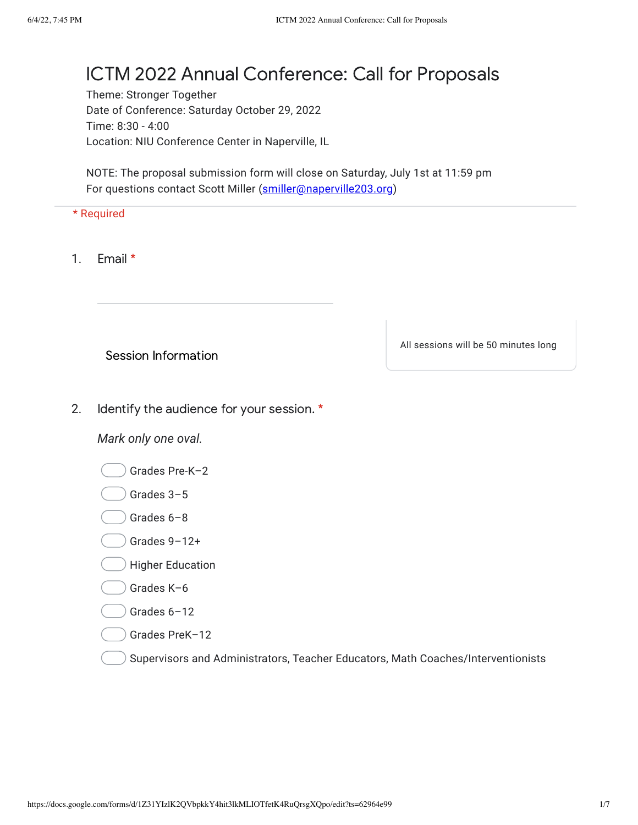## ICTM 2022 Annual Conference: Call for Proposals

Theme: Stronger Together Date of Conference: Saturday October 29, 2022 Time: 8:30 - 4:00 Location: NIU Conference Center in Naperville, IL

NOTE: The proposal submission form will close on Saturday, July 1st at 11:59 pm For questions contact Scott Miller ([smiller@naperville203.org](mailto:smiller@naperville203.org))

## \* Required

1. Email \*

Session Information

All sessions will be 50 minutes long

2. Identify the audience for your session. \*

*Mark only one oval.*

Grades Pre-K–2

- Grades 3–5
- Grades 6–8
- Grades 9–12+
- Higher Education

Grades K–6

Grades 6–12

Grades PreK–12

Supervisors and Administrators, Teacher Educators, Math Coaches/Interventionists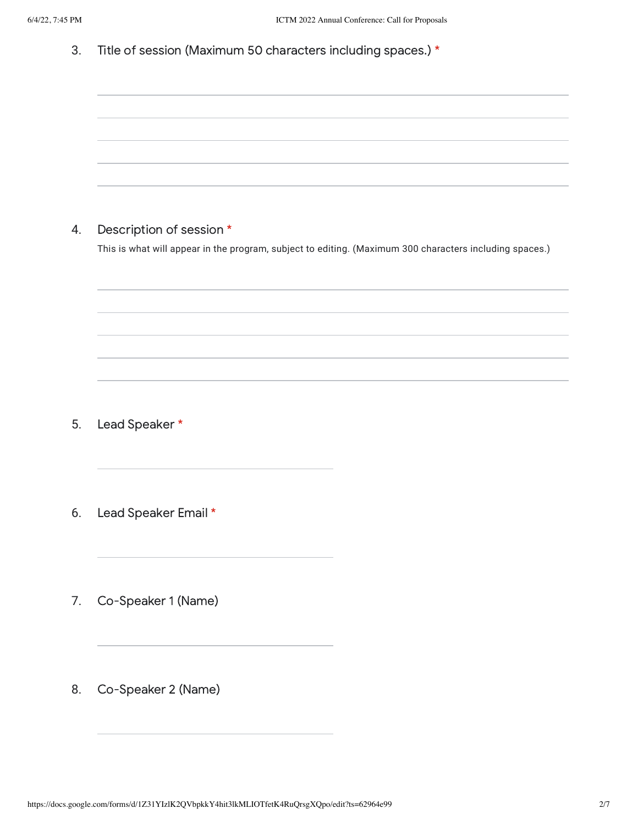| 6/4/22, 7:45 PM | ICTM 2022 Annual Conference: Call for Proposals                                                                                     |
|-----------------|-------------------------------------------------------------------------------------------------------------------------------------|
| 3.              | Title of session (Maximum 50 characters including spaces.) *                                                                        |
|                 |                                                                                                                                     |
|                 |                                                                                                                                     |
|                 |                                                                                                                                     |
|                 |                                                                                                                                     |
|                 |                                                                                                                                     |
| 4.              | Description of session *<br>This is what will appear in the program, subject to editing. (Maximum 300 characters including spaces.) |
|                 |                                                                                                                                     |
|                 |                                                                                                                                     |
|                 |                                                                                                                                     |
|                 |                                                                                                                                     |
|                 |                                                                                                                                     |
| 5.              | Lead Speaker *                                                                                                                      |
|                 |                                                                                                                                     |
|                 |                                                                                                                                     |
| 6.              | Lead Speaker Email *                                                                                                                |
|                 |                                                                                                                                     |
|                 |                                                                                                                                     |

7. Co-Speaker 1 (Name)

8. Co-Speaker 2 (Name)

<u> 1980 - Johann Barn, amerikansk politiker (d. 1980)</u>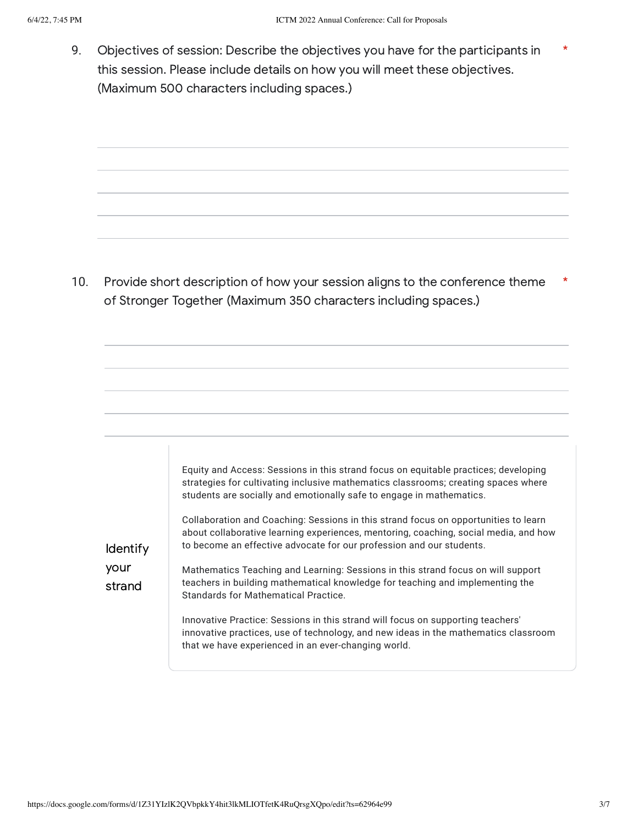9. Objectives of session: Describe the objectives you have for the participants in this session. Please include details on how you will meet these objectives. (Maximum 500 characters including spaces.)

10. Provide short description of how your session aligns to the conference theme of Stronger Together (Maximum 350 characters including spaces.) \*

|                 | Equity and Access: Sessions in this strand focus on equitable practices; developing<br>strategies for cultivating inclusive mathematics classrooms; creating spaces where<br>students are socially and emotionally safe to engage in mathematics.   |
|-----------------|-----------------------------------------------------------------------------------------------------------------------------------------------------------------------------------------------------------------------------------------------------|
| <b>Identify</b> | Collaboration and Coaching: Sessions in this strand focus on opportunities to learn<br>about collaborative learning experiences, mentoring, coaching, social media, and how<br>to become an effective advocate for our profession and our students. |
| your<br>strand  | Mathematics Teaching and Learning: Sessions in this strand focus on will support<br>teachers in building mathematical knowledge for teaching and implementing the<br>Standards for Mathematical Practice.                                           |
|                 | Innovative Practice: Sessions in this strand will focus on supporting teachers'<br>innovative practices, use of technology, and new ideas in the mathematics classroom<br>that we have experienced in an ever-changing world.                       |

\*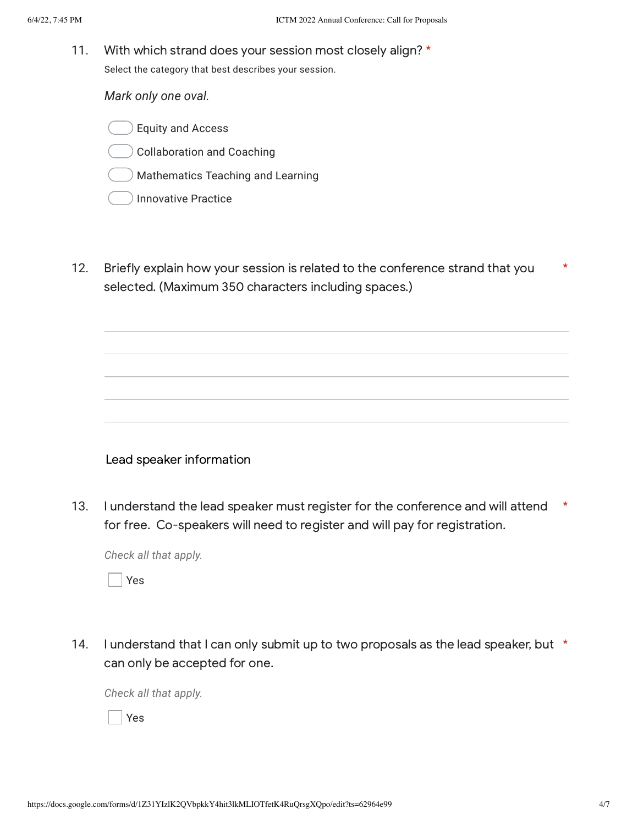11. With which strand does your session most closely align? \* Select the category that best describes your session.

*Mark only one oval.*

Equity and Access

Collaboration and Coaching

Mathematics Teaching and Learning

- Innovative Practice
- 12. Briefly explain how your session is related to the conference strand that you selected. (Maximum 350 characters including spaces.) \*

Lead speaker information

13. I understand the lead speaker must register for the conference and will attend for free. Co-speakers will need to register and will pay for registration. \*

*Check all that apply.*

Yes

14. I understand that I can only submit up to two proposals as the lead speaker, but \* can only be accepted for one.

*Check all that apply.*

Yes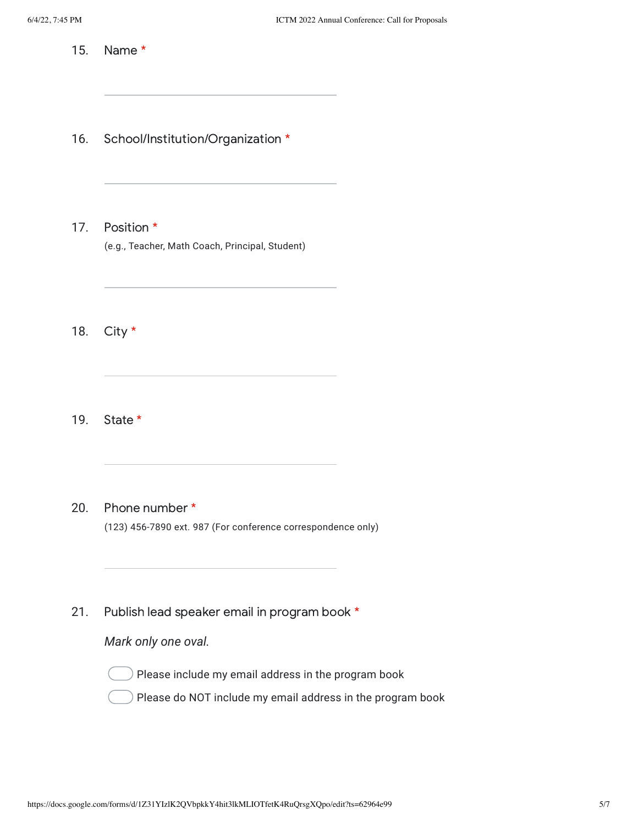15. Name \*

16. School/Institution/Organization \*

17. Position \* (e.g., Teacher, Math Coach, Principal, Student)

18. City \*

19. State \*

20. Phone number \* (123) 456-7890 ext. 987 (For conference correspondence only)

21. Publish lead speaker email in program book \*

*Mark only one oval.*

Please include my email address in the program book

Please do NOT include my email address in the program book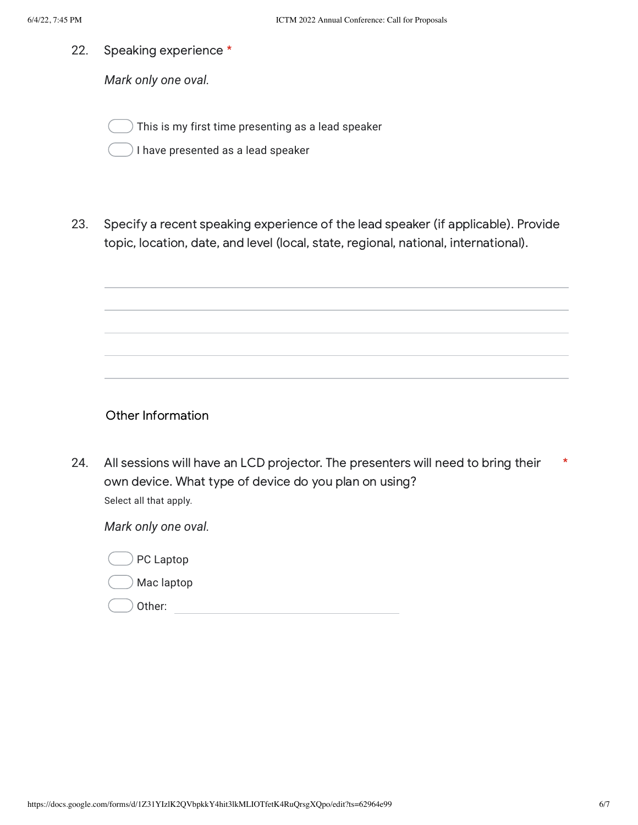22. Speaking experience \*

*Mark only one oval.*

This is my first time presenting as a lead speaker

) I have presented as a lead speaker

23. Specify a recent speaking experience of the lead speaker (if applicable). Provide topic, location, date, and level (local, state, regional, national, international).

Other Information

24. All sessions will have an LCD projector. The presenters will need to bring their own device. What type of device do you plan on using? \* Select all that apply.

*Mark only one oval.*

|  | PC Laptop |
|--|-----------|
|--|-----------|

Mac laptop

Other: when the contract of the contract of the contract of the contract of the contract of the contract of the contract of the contract of the contract of the contract of the contract of the contract of the contract of th